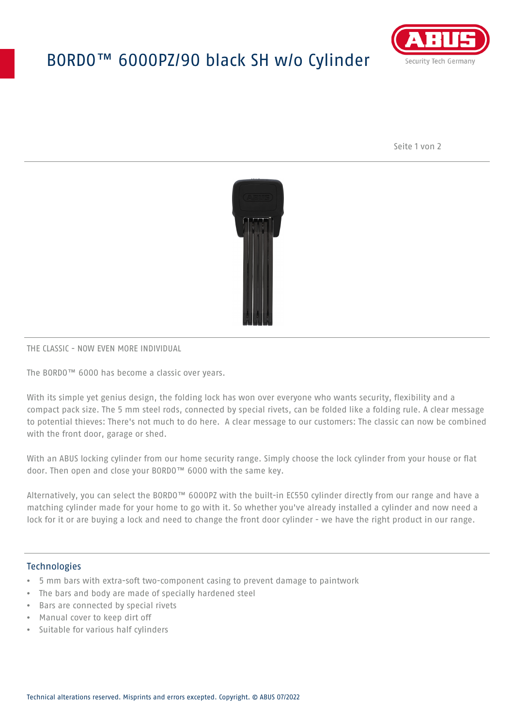# BORDO™ 6000PZ/90 black SH w/o Cylinder



Seite 1 von 2



#### THE CLASSIC - NOW EVEN MORE INDIVIDUAL

The BORDO™ 6000 has become a classic over years.

With its simple yet genius design, the folding lock has won over everyone who wants security, flexibility and a compact pack size. The 5 mm steel rods, connected by special rivets, can be folded like a folding rule. A clear message to potential thieves: There's not much to do here. A clear message to our customers: The classic can now be combined with the front door, garage or shed.

With an ABUS locking cylinder from our home security range. Simply choose the lock cylinder from your house or flat door. Then open and close your BORDO™ 6000 with the same key.

Alternatively, you can select the BORDO™ 6000PZ with the built-in EC550 cylinder directly from our range and have a matching cylinder made for your home to go with it. So whether you've already installed a cylinder and now need a lock for it or are buying a lock and need to change the front door cylinder - we have the right product in our range.

#### Technologies

- 5 mm bars with extra-soft two-component casing to prevent damage to paintwork
- The bars and body are made of specially hardened steel
- Bars are connected by special rivets
- Manual cover to keep dirt off
- Suitable for various half cylinders